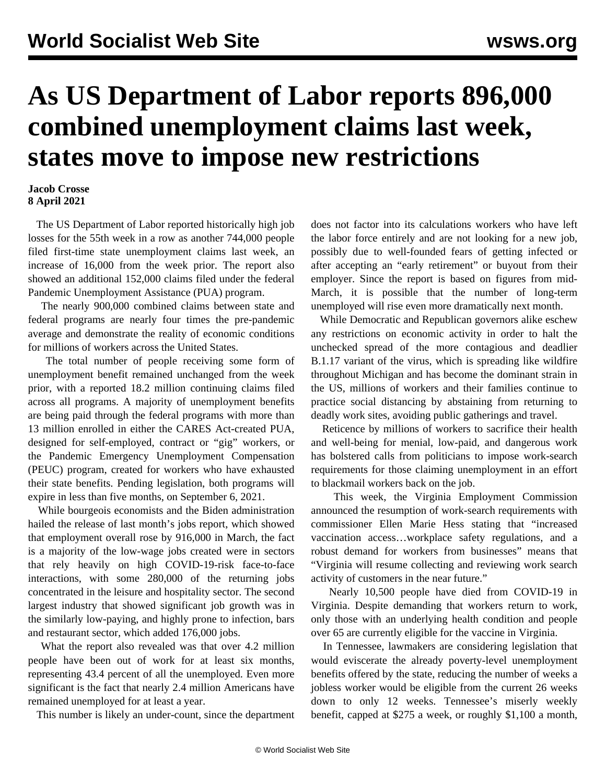## **As US Department of Labor reports 896,000 combined unemployment claims last week, states move to impose new restrictions**

## **Jacob Crosse 8 April 2021**

 The US Department of Labor reported historically high job losses for the 55th week in a row as another 744,000 people filed first-time state unemployment claims last week, an increase of 16,000 from the [week prior.](/en/articles/2021/04/02/unem-a02.html) The report also showed an additional 152,000 claims filed under the federal Pandemic Unemployment Assistance (PUA) program.

 The nearly 900,000 combined claims between state and federal programs are nearly four times the pre-pandemic average and demonstrate the reality of economic conditions for millions of workers across the United States.

 The total number of people receiving some form of unemployment benefit remained unchanged from the week prior, with a reported 18.2 million continuing claims filed across all programs. A majority of unemployment benefits are being paid through the federal programs with more than 13 million enrolled in either the CARES Act-created PUA, designed for self-employed, contract or "gig" workers, or the Pandemic Emergency Unemployment Compensation (PEUC) program, created for workers who have exhausted their state benefits. Pending legislation, both programs will expire in less than five months, on September 6, 2021.

 While bourgeois economists and the Biden administration hailed the release of last month's jobs report, which showed that [employment overall rose by 916,000](/en/articles/2021/04/03/jobs-a03.html) in March, the fact is a majority of the low-wage jobs created were in sectors that rely heavily on high COVID-19-risk face-to-face interactions, with some 280,000 of the returning jobs concentrated in the leisure and hospitality sector. The second largest industry that showed significant job growth was in the similarly low-paying, and highly prone to infection, bars and restaurant sector, which added 176,000 jobs.

 What the report also revealed was that over 4.2 million people have been out of work for at least six months, representing 43.4 percent of all the unemployed. Even more significant is the fact that nearly 2.4 million Americans have remained unemployed for at least a year.

This number is likely an under-count, since the department

does not factor into its calculations workers who have left the labor force entirely and are not looking for a new job, possibly due to well-founded fears of getting infected or after accepting an "early retirement" or buyout from their employer. Since the report is based on figures from mid-March, it is possible that the number of long-term unemployed will rise even more dramatically next month.

 While Democratic and Republican governors alike eschew any restrictions on economic activity in order to halt the unchecked spread of the more contagious and deadlier B.1.17 variant of the virus, which is spreading like [wildfire](/en/articles/2021/04/08/mich-a08.html) [throughout Michigan](/en/articles/2021/04/08/mich-a08.html) and has become the dominant strain in the US, millions of workers and their families continue to practice social distancing by abstaining from returning to deadly work sites, avoiding public gatherings and travel.

 Reticence by millions of workers to sacrifice their health and well-being for menial, low-paid, and dangerous work has bolstered calls from politicians to impose work-search requirements for those claiming unemployment in an effort to blackmail workers back on the job.

 This week, the Virginia Employment Commission announced the resumption of work-search requirements with commissioner Ellen Marie Hess stating that "increased vaccination access…workplace safety regulations, and a robust demand for workers from businesses" means that "Virginia will resume collecting and reviewing work search activity of customers in the near future."

 Nearly 10,500 people have died from COVID-19 in Virginia. Despite demanding that workers return to work, only those with an underlying health condition and people over 65 are currently eligible for the vaccine in Virginia.

 In Tennessee, lawmakers are considering legislation that would eviscerate the already poverty-level unemployment benefits offered by the state, reducing the number of weeks a jobless worker would be eligible from the current 26 weeks down to only 12 weeks. Tennessee's miserly weekly benefit, capped at \$275 a week, or roughly \$1,100 a month,